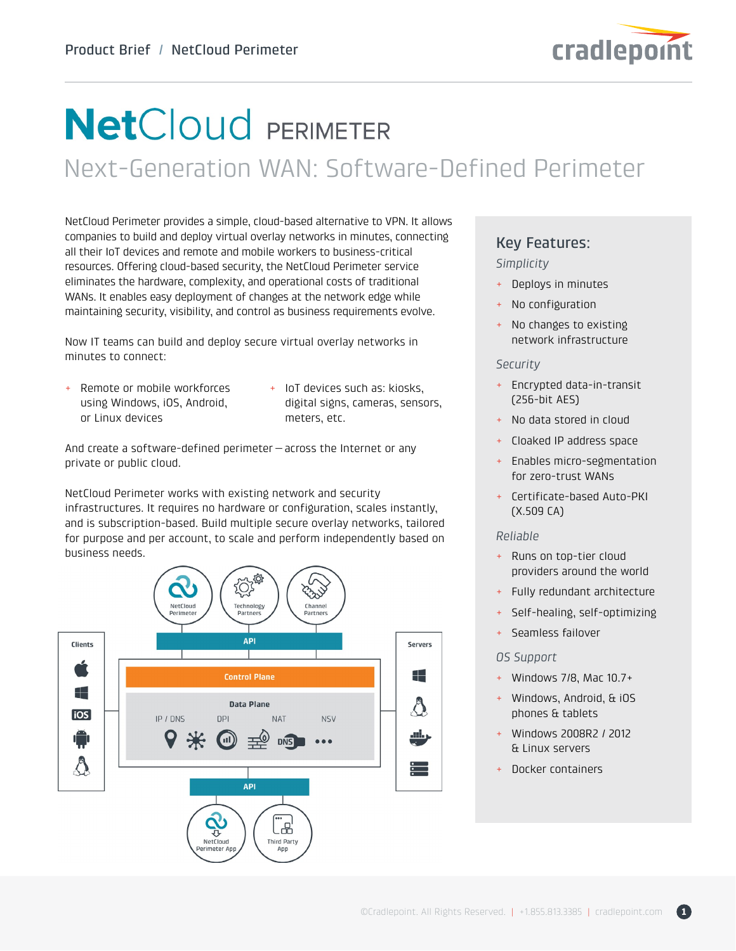

# **NetCloud PERIMETER**

Next-Generation WAN: Software-Defined Perimeter

NetCloud Perimeter provides a simple, cloud-based alternative to VPN. It allows companies to build and deploy virtual overlay networks in minutes, connecting all their IoT devices and remote and mobile workers to business-critical resources. Offering cloud-based security, the NetCloud Perimeter service eliminates the hardware, complexity, and operational costs of traditional WANs. It enables easy deployment of changes at the network edge while maintaining security, visibility, and control as business requirements evolve.

Now IT teams can build and deploy secure virtual overlay networks in minutes to connect:

- + Remote or mobile workforces using Windows, iOS, Android, or Linux devices
- + IoT devices such as: kiosks, digital signs, cameras, sensors, meters, etc.

And create a software-defined perimeter—across the Internet or any private or public cloud.

NetCloud Perimeter works with existing network and security infrastructures. It requires no hardware or configuration, scales instantly, and is subscription-based. Build multiple secure overlay networks, tailored for purpose and per account, to scale and perform independently based on business needs.



### Key Features:

#### *Simplicity*

- + Deploys in minutes
- + No configuration
- + No changes to existing network infrastructure

#### *Security*

- + Encrypted data-in-transit (256-bit AES)
- + No data stored in cloud
- + Cloaked IP address space
- + Enables micro-segmentation for zero-trust WANs
- + Certificate-based Auto-PKI (X.509 CA)

#### *Reliable*

- + Runs on top-tier cloud providers around the world
- + Fully redundant architecture
- Self-healing, self-optimizing
- + Seamless failover

#### *OS Support*

- + Windows 7/8, Mac 10.7+
- Windows, Android, & iOS phones & tablets
- + Windows 2008R2 / 2012 & Linux servers
- + Docker containers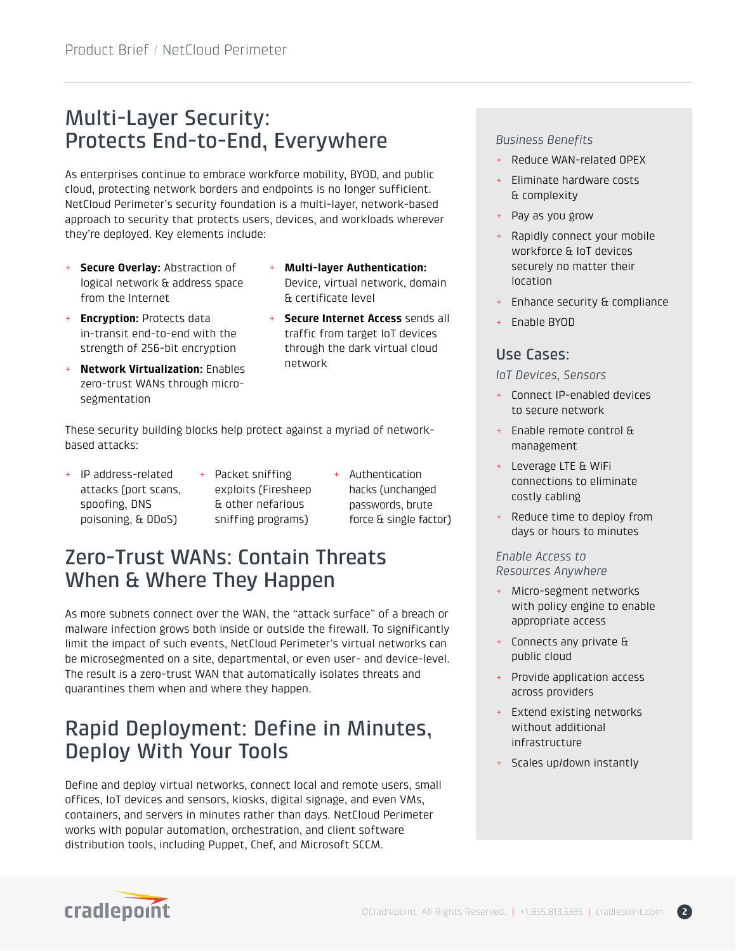# Multi-Layer Security: Protects End-to-End, Everywhere

As enterprises continue to embrace workforce mobility, BYOD, and public cloud, protecting network borders and endpoints is no longer sufficient. NetCloud Perimeter's security foundation is a multi-layer, network-based approach to security that protects users, devices, and workloads wherever they're deployed. Key elements include:

- + **Secure Overlay:** Abstraction of logical network & address space from the Internet
- + **Encryption:** Protects data in-transit end-to-end with the strength of 256-bit encryption
- + **Network Virtualization:** Enables zero-trust WANs through microsegmentation
- + **Multi-layer Authentication:**  Device, virtual network, domain & certificate level
- **Secure Internet Access** sends all traffic from target IoT devices through the dark virtual cloud network

These security building blocks help protect against a myriad of networkbased attacks:

- + IP address-related attacks (port scans, spoofing, DNS poisoning, & DDoS)
- + Packet sniffing exploits (Firesheep & other nefarious sniffing programs)
- + Authentication hacks (unchanged passwords, brute force & single factor)

## Zero-Trust WANs: Contain Threats When & Where They Happen

As more subnets connect over the WAN, the "attack surface" of a breach or malware infection grows both inside or outside the firewall. To significantly limit the impact of such events, NetCloud Perimeter's virtual networks can be microsegmented on a site, departmental, or even user- and device-level. The result is a zero-trust WAN that automatically isolates threats and quarantines them when and where they happen.

### Rapid Deployment: Define in Minutes, Deploy With Your Tools

Define and deploy virtual networks, connect local and remote users, small offices, IoT devices and sensors, kiosks, digital signage, and even VMs, containers, and servers in minutes rather than days. NetCloud Perimeter works with popular automation, orchestration, and client software distribution tools, including Puppet, Chef, and Microsoft SCCM.

#### *Business Benefits*

- + Reduce WAN-related OPEX
- + Eliminate hardware costs & complexity
- + Pay as you grow
- + Rapidly connect your mobile workforce & IoT devices securely no matter their location
- + Enhance security & compliance
- + Enable BYOD

### Use Cases:

*IoT Devices, Sensors*

- + Connect IP-enabled devices to secure network
- + Enable remote control & management
- + Leverage LTE & WiFi connections to eliminate costly cabling
- + Reduce time to deploy from days or hours to minutes

*Enable Access to Resources Anywhere*

- + Micro-segment networks with policy engine to enable appropriate access
- + Connects any private & public cloud
- + Provide application access across providers
- + Extend existing networks without additional infrastructure
- + Scales up/down instantly